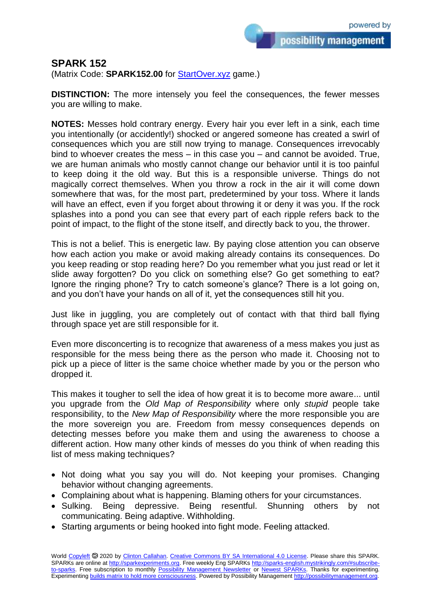possibility management

## **SPARK 152**

(Matrix Code: **SPARK152.00** for **StartOver.xyz** game.)

**DISTINCTION:** The more intensely you feel the consequences, the fewer messes you are willing to make.

**NOTES:** Messes hold contrary energy. Every hair you ever left in a sink, each time you intentionally (or accidently!) shocked or angered someone has created a swirl of consequences which you are still now trying to manage. Consequences irrevocably bind to whoever creates the mess – in this case you – and cannot be avoided. True, we are human animals who mostly cannot change our behavior until it is too painful to keep doing it the old way. But this is a responsible universe. Things do not magically correct themselves. When you throw a rock in the air it will come down somewhere that was, for the most part, predetermined by your toss. Where it lands will have an effect, even if you forget about throwing it or deny it was you. If the rock splashes into a pond you can see that every part of each ripple refers back to the point of impact, to the flight of the stone itself, and directly back to you, the thrower.

This is not a belief. This is energetic law. By paying close attention you can observe how each action you make or avoid making already contains its consequences. Do you keep reading or stop reading here? Do you remember what you just read or let it slide away forgotten? Do you click on something else? Go get something to eat? Ignore the ringing phone? Try to catch someone's glance? There is a lot going on, and you don't have your hands on all of it, yet the consequences still hit you.

Just like in juggling, you are completely out of contact with that third ball flying through space yet are still responsible for it.

Even more disconcerting is to recognize that awareness of a mess makes you just as responsible for the mess being there as the person who made it. Choosing not to pick up a piece of litter is the same choice whether made by you or the person who dropped it.

This makes it tougher to sell the idea of how great it is to become more aware... until you upgrade from the *Old Map of Responsibility* where only *stupid* people take responsibility, to the *New Map of Responsibility* where the more responsible you are the more sovereign you are. Freedom from messy consequences depends on detecting messes before you make them and using the awareness to choose a different action. How many other kinds of messes do you think of when reading this list of mess making techniques?

- Not doing what you say you will do. Not keeping your promises. Changing behavior without changing agreements.
- Complaining about what is happening. Blaming others for your circumstances.
- Sulking. Being depressive. Being resentful. Shunning others by not communicating. Being adaptive. Withholding.
- Starting arguments or being hooked into fight mode. Feeling attacked.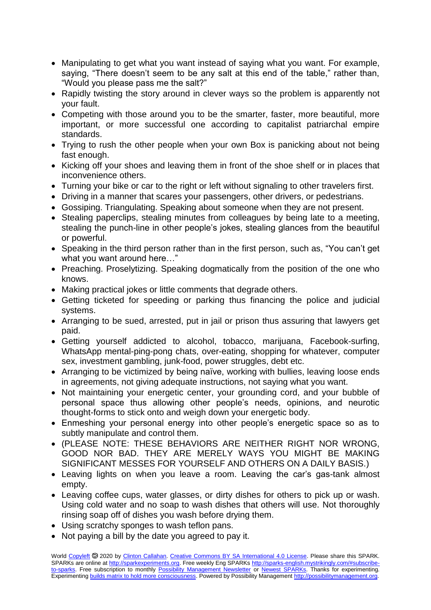- Manipulating to get what you want instead of saying what you want. For example, saying, "There doesn't seem to be any salt at this end of the table," rather than, "Would you please pass me the salt?"
- Rapidly twisting the story around in clever ways so the problem is apparently not your fault.
- Competing with those around you to be the smarter, faster, more beautiful, more important, or more successful one according to capitalist patriarchal empire standards.
- Trying to rush the other people when your own Box is panicking about not being fast enough.
- Kicking off your shoes and leaving them in front of the shoe shelf or in places that inconvenience others.
- Turning your bike or car to the right or left without signaling to other travelers first.
- Driving in a manner that scares your passengers, other drivers, or pedestrians.
- Gossiping. Triangulating. Speaking about someone when they are not present.
- Stealing paperclips, stealing minutes from colleagues by being late to a meeting, stealing the punch-line in other people's jokes, stealing glances from the beautiful or powerful.
- Speaking in the third person rather than in the first person, such as, "You can't get what you want around here…"
- Preaching. Proselytizing. Speaking dogmatically from the position of the one who knows.
- Making practical jokes or little comments that degrade others.
- Getting ticketed for speeding or parking thus financing the police and judicial systems.
- Arranging to be sued, arrested, put in jail or prison thus assuring that lawyers get paid.
- Getting yourself addicted to alcohol, tobacco, marijuana, Facebook-surfing, WhatsApp mental-ping-pong chats, over-eating, shopping for whatever, computer sex, investment gambling, junk-food, power struggles, debt etc.
- Arranging to be victimized by being naïve, working with bullies, leaving loose ends in agreements, not giving adequate instructions, not saying what you want.
- Not maintaining your energetic center, your grounding cord, and your bubble of personal space thus allowing other people's needs, opinions, and neurotic thought-forms to stick onto and weigh down your energetic body.
- Enmeshing your personal energy into other people's energetic space so as to subtly manipulate and control them.
- (PLEASE NOTE: THESE BEHAVIORS ARE NEITHER RIGHT NOR WRONG, GOOD NOR BAD. THEY ARE MERELY WAYS YOU MIGHT BE MAKING SIGNIFICANT MESSES FOR YOURSELF AND OTHERS ON A DAILY BASIS.)
- Leaving lights on when you leave a room. Leaving the car's gas-tank almost empty.
- Leaving coffee cups, water glasses, or dirty dishes for others to pick up or wash. Using cold water and no soap to wash dishes that others will use. Not thoroughly rinsing soap off of dishes you wash before drying them.
- Using scratchy sponges to wash teflon pans.
- Not paying a bill by the date you agreed to pay it.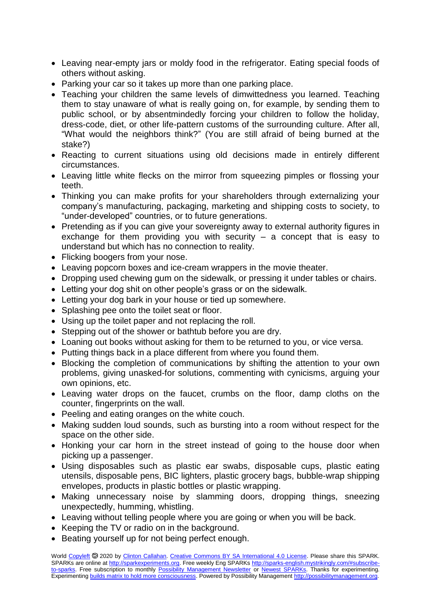- Leaving near-empty jars or moldy food in the refrigerator. Eating special foods of others without asking.
- Parking your car so it takes up more than one parking place.
- Teaching your children the same levels of dimwittedness you learned. Teaching them to stay unaware of what is really going on, for example, by sending them to public school, or by absentmindedly forcing your children to follow the holiday, dress-code, diet, or other life-pattern customs of the surrounding culture. After all, "What would the neighbors think?" (You are still afraid of being burned at the stake?)
- Reacting to current situations using old decisions made in entirely different circumstances.
- Leaving little white flecks on the mirror from squeezing pimples or flossing your teeth.
- Thinking you can make profits for your shareholders through externalizing your company's manufacturing, packaging, marketing and shipping costs to society, to "under-developed" countries, or to future generations.
- Pretending as if you can give your sovereignty away to external authority figures in exchange for them providing you with security  $-$  a concept that is easy to understand but which has no connection to reality.
- Flicking boogers from your nose.
- Leaving popcorn boxes and ice-cream wrappers in the movie theater.
- Dropping used chewing gum on the sidewalk, or pressing it under tables or chairs.
- Letting your dog shit on other people's grass or on the sidewalk.
- Letting your dog bark in your house or tied up somewhere.
- Splashing pee onto the toilet seat or floor.
- Using up the toilet paper and not replacing the roll.
- Stepping out of the shower or bathtub before you are dry.
- Loaning out books without asking for them to be returned to you, or vice versa.
- Putting things back in a place different from where you found them.
- Blocking the completion of communications by shifting the attention to your own problems, giving unasked-for solutions, commenting with cynicisms, arguing your own opinions, etc.
- Leaving water drops on the faucet, crumbs on the floor, damp cloths on the counter, fingerprints on the wall.
- Peeling and eating oranges on the white couch.
- Making sudden loud sounds, such as bursting into a room without respect for the space on the other side.
- Honking your car horn in the street instead of going to the house door when picking up a passenger.
- Using disposables such as plastic ear swabs, disposable cups, plastic eating utensils, disposable pens, BIC lighters, plastic grocery bags, bubble-wrap shipping envelopes, products in plastic bottles or plastic wrapping.
- Making unnecessary noise by slamming doors, dropping things, sneezing unexpectedly, humming, whistling.
- Leaving without telling people where you are going or when you will be back.
- Keeping the TV or radio on in the background.
- Beating yourself up for not being perfect enough.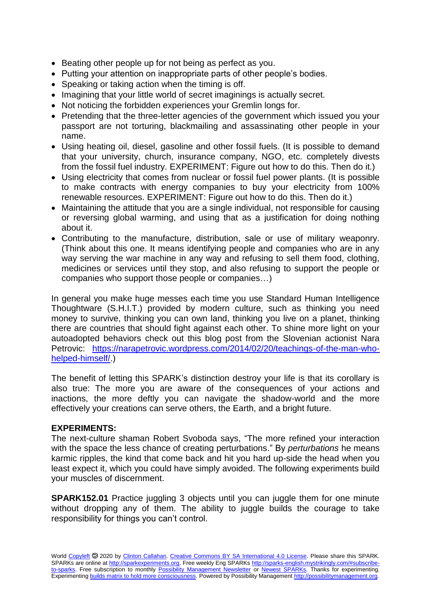- Beating other people up for not being as perfect as you.
- Putting your attention on inappropriate parts of other people's bodies.
- Speaking or taking action when the timing is off.
- Imagining that your little world of secret imaginings is actually secret.
- Not noticing the forbidden experiences your Gremlin longs for.
- Pretending that the three-letter agencies of the government which issued you your passport are not torturing, blackmailing and assassinating other people in your name.
- Using heating oil, diesel, gasoline and other fossil fuels. (It is possible to demand that your university, church, insurance company, NGO, etc. completely divests from the fossil fuel industry. EXPERIMENT: Figure out how to do this. Then do it.)
- Using electricity that comes from nuclear or fossil fuel power plants. (It is possible to make contracts with energy companies to buy your electricity from 100% renewable resources. EXPERIMENT: Figure out how to do this. Then do it.)
- Maintaining the attitude that you are a single individual, not responsible for causing or reversing global warming, and using that as a justification for doing nothing about it.
- Contributing to the manufacture, distribution, sale or use of military weaponry. (Think about this one. It means identifying people and companies who are in any way serving the war machine in any way and refusing to sell them food, clothing, medicines or services until they stop, and also refusing to support the people or companies who support those people or companies…)

In general you make huge messes each time you use Standard Human Intelligence Thoughtware (S.H.I.T.) provided by modern culture, such as thinking you need money to survive, thinking you can own land, thinking you live on a planet, thinking there are countries that should fight against each other. To shine more light on your autoadopted behaviors check out this blog post from the Slovenian actionist Nara Petrovic: [https://narapetrovic.wordpress.com/2014/02/20/teachings-of-the-man-who](https://narapetrovic.wordpress.com/2014/02/20/teachings-of-the-man-who-helped-himself/)[helped-himself/.](https://narapetrovic.wordpress.com/2014/02/20/teachings-of-the-man-who-helped-himself/))

The benefit of letting this SPARK's distinction destroy your life is that its corollary is also true: The more you are aware of the consequences of your actions and inactions, the more deftly you can navigate the shadow-world and the more effectively your creations can serve others, the Earth, and a bright future.

## **EXPERIMENTS:**

The next-culture shaman Robert Svoboda says, "The more refined your interaction with the space the less chance of creating perturbations." By *perturbations* he means karmic ripples, the kind that come back and hit you hard up-side the head when you least expect it, which you could have simply avoided. The following experiments build your muscles of discernment.

**SPARK152.01** Practice juggling 3 objects until you can juggle them for one minute without dropping any of them. The ability to juggle builds the courage to take responsibility for things you can't control.

World [Copyleft](https://en.wikipedia.org/wiki/Copyleft) <sup>5</sup> 2020 by [Clinton Callahan.](http://clintoncallahan.mystrikingly.com/) [Creative Commons BY SA International 4.0 License.](https://creativecommons.org/licenses/by-sa/4.0/) Please share this SPARK. SPARKs are online at [http://sparkexperiments.org.](http://sparks-english.mystrikingly.com/) Free weekly Eng SPARKs [http://sparks-english.mystrikingly.com/#subscribe](http://sparks-english.mystrikingly.com/#subscribe-to-sparks)[to-sparks.](http://sparks-english.mystrikingly.com/#subscribe-to-sparks) Free subscription to monthly [Possibility Management Newsletter](https://possibilitymanagement.org/news/) or [Newest SPARKs.](https://www.clintoncallahan.org/newsletter-1) Thanks for experimenting. Experimentin[g builds matrix to hold more consciousness.](http://spaceport.mystrikingly.com/) Powered by Possibility Managemen[t http://possibilitymanagement.org.](http://possibilitymanagement.org/)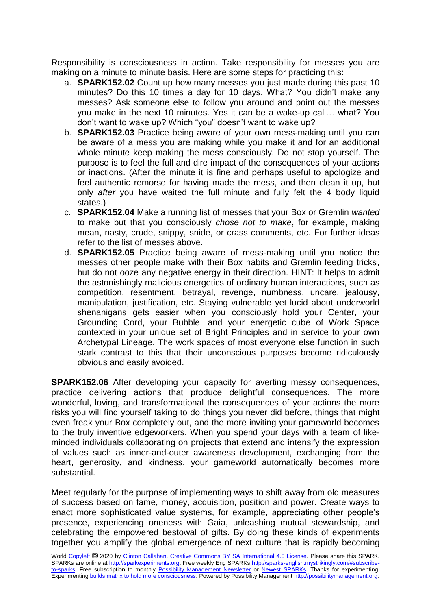Responsibility is consciousness in action. Take responsibility for messes you are making on a minute to minute basis. Here are some steps for practicing this:

- a. **SPARK152.02** Count up how many messes you just made during this past 10 minutes? Do this 10 times a day for 10 days. What? You didn't make any messes? Ask someone else to follow you around and point out the messes you make in the next 10 minutes. Yes it can be a wake-up call… what? You don't want to wake up? Which "you" doesn't want to wake up?
- b. **SPARK152.03** Practice being aware of your own mess-making until you can be aware of a mess you are making while you make it and for an additional whole minute keep making the mess consciously. Do not stop yourself. The purpose is to feel the full and dire impact of the consequences of your actions or inactions. (After the minute it is fine and perhaps useful to apologize and feel authentic remorse for having made the mess, and then clean it up, but only *after* you have waited the full minute and fully felt the 4 body liquid states.)
- c. **SPARK152.04** Make a running list of messes that your Box or Gremlin *wanted* to make but that you consciously *chose not to make*, for example, making mean, nasty, crude, snippy, snide, or crass comments, etc. For further ideas refer to the list of messes above.
- d. **SPARK152.05** Practice being aware of mess-making until you notice the messes other people make with their Box habits and Gremlin feeding tricks, but do not ooze any negative energy in their direction. HINT: It helps to admit the astonishingly malicious energetics of ordinary human interactions, such as competition, resentment, betrayal, revenge, numbness, uncare, jealousy, manipulation, justification, etc. Staying vulnerable yet lucid about underworld shenanigans gets easier when you consciously hold your Center, your Grounding Cord, your Bubble, and your energetic cube of Work Space contexted in your unique set of Bright Principles and in service to your own Archetypal Lineage. The work spaces of most everyone else function in such stark contrast to this that their unconscious purposes become ridiculously obvious and easily avoided.

**SPARK152.06** After developing your capacity for averting messy consequences, practice delivering actions that produce delightful consequences. The more wonderful, loving, and transformational the consequences of your actions the more risks you will find yourself taking to do things you never did before, things that might even freak your Box completely out, and the more inviting your gameworld becomes to the truly inventive edgeworkers. When you spend your days with a team of likeminded individuals collaborating on projects that extend and intensify the expression of values such as inner-and-outer awareness development, exchanging from the heart, generosity, and kindness, your gameworld automatically becomes more substantial.

Meet regularly for the purpose of implementing ways to shift away from old measures of success based on fame, money, acquisition, position and power. Create ways to enact more sophisticated value systems, for example, appreciating other people's presence, experiencing oneness with Gaia, unleashing mutual stewardship, and celebrating the empowered bestowal of gifts. By doing these kinds of experiments together you amplify the global emergence of next culture that is rapidly becoming